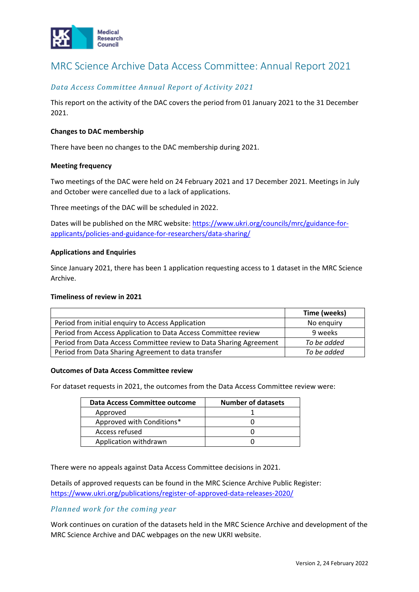

# MRC Science Archive Data Access Committee: Annual Report 2021

# *Data Access Committee Annual Report of Activity 2021*

This report on the activity of the DAC covers the period from 01 January 2021 to the 31 December 2021.

## **Changes to DAC membership**

There have been no changes to the DAC membership during 2021.

#### **Meeting frequency**

Two meetings of the DAC were held on 24 February 2021 and 17 December 2021. Meetings in July and October were cancelled due to a lack of applications.

Three meetings of the DAC will be scheduled in 2022.

Dates will be published on the MRC website: [https://www.ukri.org/councils/mrc/guidance-for](https://www.ukri.org/councils/mrc/guidance-for-applicants/policies-and-guidance-for-researchers/data-sharing/)[applicants/policies-and-guidance-for-researchers/data-sharing/](https://www.ukri.org/councils/mrc/guidance-for-applicants/policies-and-guidance-for-researchers/data-sharing/)

#### **Applications and Enquiries**

Since January 2021, there has been 1 application requesting access to 1 dataset in the MRC Science Archive.

#### **Timeliness of review in 2021**

|                                                                    | Time (weeks) |
|--------------------------------------------------------------------|--------------|
| Period from initial enquiry to Access Application                  | No enguiry   |
| Period from Access Application to Data Access Committee review     | 9 weeks      |
| Period from Data Access Committee review to Data Sharing Agreement | To be added  |
| Period from Data Sharing Agreement to data transfer                | To be added  |

#### **Outcomes of Data Access Committee review**

For dataset requests in 2021, the outcomes from the Data Access Committee review were:

| <b>Data Access Committee outcome</b> | <b>Number of datasets</b> |
|--------------------------------------|---------------------------|
| Approved                             |                           |
| Approved with Conditions*            |                           |
| Access refused                       |                           |
| Application withdrawn                |                           |

There were no appeals against Data Access Committee decisions in 2021.

Details of approved requests can be found in the MRC Science Archive Public Register: <https://www.ukri.org/publications/register-of-approved-data-releases-2020/>

## *Planned work for the coming year*

Work continues on curation of the datasets held in the MRC Science Archive and development of the MRC Science Archive and DAC webpages on the new UKRI website.